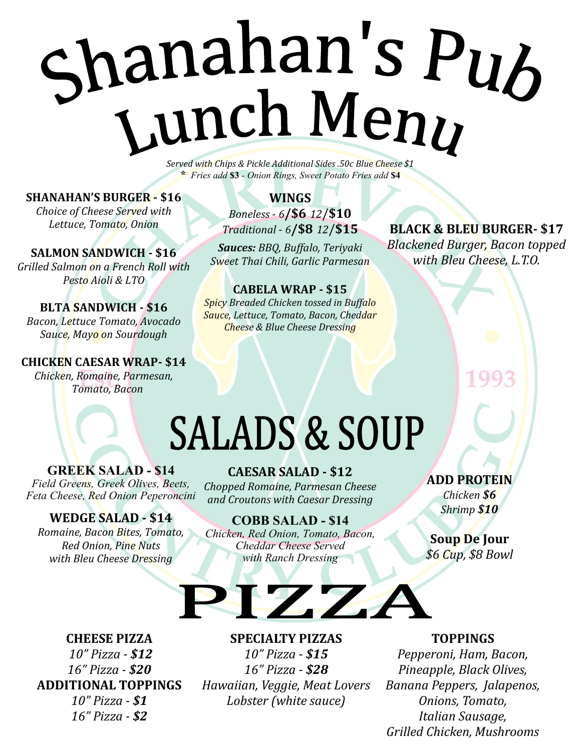# Shanahan's Pub<br>Lunch Meny

*Served with Chips & Pickle Additional Sides .50c Blue Cheese \$1* **\*** *Fries add* **\$3** *- Onion Rings, Sweet Potato Fries add* **\$4**

**SHANAHAN'S BURGER - \$16**

*Choice of Cheese Served with Lettuce, Tomato, Onion* 

**SALMON SANDWICH - \$16** *Grilled Salmon on a French Roll with Pesto Aioli & LTO*

**BLTA SANDWICH - \$16** *Bacon, Lettuce Tomato, Avocado Sauce, Mayo on Sourdough*

**CHICKEN CAESAR WRAP- \$14** *Chicken, Romaine, Parmesan, Tomato, Bacon*

#### **WINGS** *Boneless* - *6***/\$6** *12*/**\$10** *Traditional* - *6***/\$8** *12*/**\$15**

*Sauces: BBQ, Buffalo, Teriyaki Sweet Thai Chili, Garlic Parmesan*

**CABELA WRAP - \$15** *Spicy Breaded Chicken tossed in Buffalo Sauce, Lettuce, Tomato, Bacon, Cheddar Cheese & Blue Cheese Dressing*

**BLACK & BLEU BURGER- \$17** *Blackened Burger, Bacon topped with Bleu Cheese, L.T.O.*

# **SALADS & SOUP**

**GREEK SALAD - \$14** *Field Greens, Greek Olives, Beets, Feta Cheese, Red Onion Peperoncini* 

#### *Chopped Romaine, Parmesan Cheese*

*and Croutons with Caesar Dressing*

**CAESAR SALAD - \$12**

#### **WEDGE SALAD - \$14**

*Romaine, Bacon Bites, Tomato, Red Onion, Pine Nuts with Bleu Cheese Dressing*

### **COBB SALAD - \$14**

#### *Chicken, Red Onion, Tomato, Bacon, Cheddar Cheese Served with Ranch Dressing*

**ADD PROTEIN**

*Chicken \$6 Shrimp \$10*

#### **Soup De Jour** *\$6 Cup, \$8 Bowl*

**CHEESE PIZZA**  *10" Pizza - \$12 16" Pizza - \$20* **ADDITIONAL TOPPINGS**  *10" Pizza - \$1 16" Pizza - \$2*

#### **SPECIALTY PIZZAS**

21ZZZ

*10" Pizza - \$15 16" Pizza - \$28 Hawaiian, Veggie, Meat Lovers Lobster (white sauce)*

#### **TOPPINGS**

*Pepperoni, Ham, Bacon, Pineapple, Black Olives, Banana Peppers, Jalapenos, Onions, Tomato, Italian Sausage, Grilled Chicken, Mushrooms*